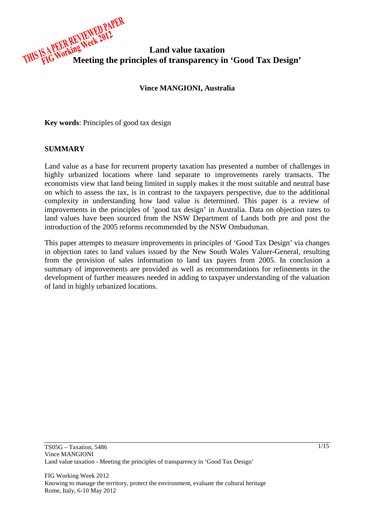

#### **Vince MANGIONI, Australia**

**Key words**: Principles of good tax design

#### **SUMMARY**

Land value as a base for recurrent property taxation has presented a number of challenges in highly urbanized locations where land separate to improvements rarely transacts. The economists view that land being limited in supply makes it the most suitable and neutral base on which to assess the tax, is in contrast to the taxpayers perspective, due to the additional complexity in understanding how land value is determined. This paper is a review of improvements in the principles of 'good tax design' in Australia. Data on objection rates to land values have been sourced from the NSW Department of Lands both pre and post the introduction of the 2005 reforms recommended by the NSW Ombudsman.

This paper attempts to measure improvements in principles of 'Good Tax Design' via changes in objection rates to land values issued by the New South Wales Valuer-General, resulting from the provision of sales information to land tax payers from 2005. In conclusion a summary of improvements are provided as well as recommendations for refinements in the development of further measures needed in adding to taxpayer understanding of the valuation of land in highly urbanized locations.

FIG Working Week 2012 Knowing to manage the territory, protect the environment, evaluate the cultural heritage Rome, Italy, 6-10 May 2012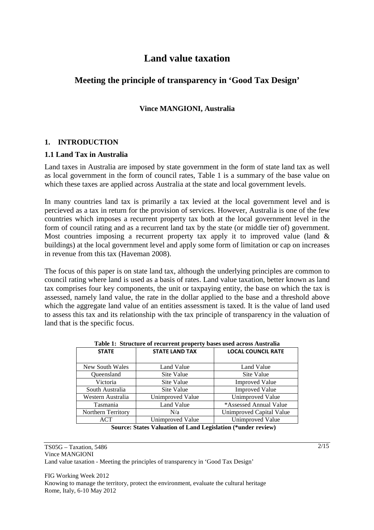# **Land value taxation**

# **Meeting the principle of transparency in 'Good Tax Design'**

# **Vince MANGIONI, Australia**

#### **1. INTRODUCTION**

#### **1.1 Land Tax in Australia**

Land taxes in Australia are imposed by state government in the form of state land tax as well as local government in the form of council rates, Table 1 is a summary of the base value on which these taxes are applied across Australia at the state and local government levels.

In many countries land tax is primarily a tax levied at the local government level and is percieved as a tax in return for the provision of services. However, Australia is one of the few countries which imposes a recurrent property tax both at the local government level in the form of council rating and as a recurrent land tax by the state (or middle tier of) government. Most countries imposing a recurrent property tax apply it to improved value (land  $\&$ buildings) at the local government level and apply some form of limitation or cap on increases in revenue from this tax (Haveman 2008).

The focus of this paper is on state land tax, although the underlying principles are common to council rating where land is used as a basis of rates. Land value taxation, better known as land tax comprises four key components, the unit or taxpaying entity, the base on which the tax is assessed, namely land value, the rate in the dollar applied to the base and a threshold above which the aggregate land value of an entities assessment is taxed. It is the value of land used to assess this tax and its relationship with the tax principle of transparency in the valuation of land that is the specific focus.

| <b>STATE</b>       | <b>STATE LAND TAX</b> | <b>LOCAL COUNCIL RATE</b> |  |  |
|--------------------|-----------------------|---------------------------|--|--|
| New South Wales    | Land Value            | Land Value                |  |  |
| Oueensland         | Site Value            | Site Value                |  |  |
| Victoria           | Site Value            | <b>Improved Value</b>     |  |  |
| South Australia    | Site Value            | <b>Improved Value</b>     |  |  |
| Western Australia  | Unimproved Value      | Unimproved Value          |  |  |
| Tasmania           | Land Value            | *Assessed Annual Value    |  |  |
| Northern Territory | N/a                   | Unimproved Capital Value  |  |  |
| ACT                | Unimproved Value      | Unimproved Value          |  |  |

#### **Table 1: Structure of recurrent property bases used across Australia**

 **Source: States Valuation of Land Legislation (\*under review)** 

TS05G – Taxation, 5486 Vince MANGIONI Land value taxation - Meeting the principles of transparency in 'Good Tax Design'

FIG Working Week 2012 Knowing to manage the territory, protect the environment, evaluate the cultural heritage Rome, Italy, 6-10 May 2012

 $2/15$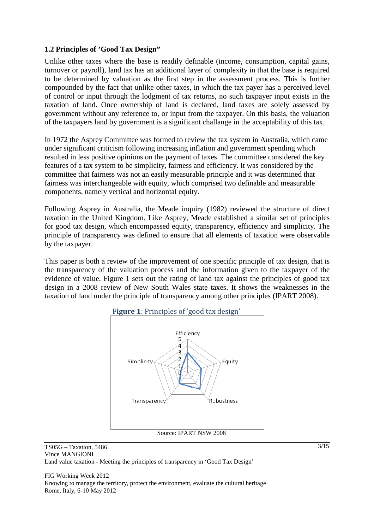#### **1.2 Principles of 'Good Tax Design"**

Unlike other taxes where the base is readily definable (income, consumption, capital gains, turnover or payroll), land tax has an additional layer of complexity in that the base is required to be determined by valuation as the first step in the assessment process. This is further compounded by the fact that unlike other taxes, in which the tax payer has a perceived level of control or input through the lodgment of tax returns, no such taxpayer input exists in the taxation of land. Once ownership of land is declared, land taxes are solely assessed by government without any reference to, or input from the taxpayer. On this basis, the valuation of the taxpayers land by government is a significant challange in the acceptability of this tax.

In 1972 the Asprey Committee was formed to review the tax system in Australia, which came under significant criticism following increasing inflation and government spending which resulted in less positive opinions on the payment of taxes. The committee considered the key features of a tax system to be simplicity, fairness and efficiency. It was considered by the committee that fairness was not an easily measurable principle and it was determined that fairness was interchangeable with equity, which comprised two definable and measurable components, namely vertical and horizontal equity.

Following Asprey in Australia, the Meade inquiry (1982) reviewed the structure of direct taxation in the United Kingdom. Like Asprey, Meade established a similar set of principles for good tax design, which encompassed equity, transparency, efficiency and simplicity. The principle of transparency was defined to ensure that all elements of taxation were observable by the taxpayer.

This paper is both a review of the improvement of one specific principle of tax design, that is the transparency of the valuation process and the information given to the taxpayer of the evidence of value. Figure 1 sets out the rating of land tax against the principles of good tax design in a 2008 review of New South Wales state taxes. It shows the weaknesses in the taxation of land under the principle of transparency among other principles (IPART 2008).





TS05G – Taxation, 5486 Vince MANGIONI Land value taxation - Meeting the principles of transparency in 'Good Tax Design'

FIG Working Week 2012 Knowing to manage the territory, protect the environment, evaluate the cultural heritage Rome, Italy, 6-10 May 2012

 $\frac{3}{15}$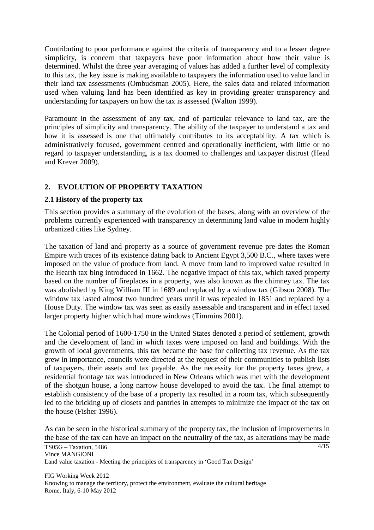Contributing to poor performance against the criteria of transparency and to a lesser degree simplicity, is concern that taxpayers have poor information about how their value is determined. Whilst the three year averaging of values has added a further level of complexity to this tax, the key issue is making available to taxpayers the information used to value land in their land tax assessments (Ombudsman 2005). Here, the sales data and related information used when valuing land has been identified as key in providing greater transparency and understanding for taxpayers on how the tax is assessed (Walton 1999).

Paramount in the assessment of any tax, and of particular relevance to land tax, are the principles of simplicity and transparency. The ability of the taxpayer to understand a tax and how it is assessed is one that ultimately contributes to its acceptability. A tax which is administratively focused, government centred and operationally inefficient, with little or no regard to taxpayer understanding, is a tax doomed to challenges and taxpayer distrust (Head and Krever 2009).

# **2. EVOLUTION OF PROPERTY TAXATION**

## **2.1 History of the property tax**

This section provides a summary of the evolution of the bases, along with an overview of the problems currently experienced with transparency in determining land value in modern highly urbanized cities like Sydney.

The taxation of land and property as a source of government revenue pre-dates the Roman Empire with traces of its existence dating back to Ancient Egypt 3,500 B.C., where taxes were imposed on the value of produce from land. A move from land to improved value resulted in the Hearth tax bing introduced in 1662. The negative impact of this tax, which taxed property based on the number of fireplaces in a property, was also known as the chimney tax. The tax was abolished by King William III in 1689 and replaced by a window tax (Gibson 2008). The window tax lasted almost two hundred years until it was repealed in 1851 and replaced by a House Duty. The window tax was seen as easily assessable and transparent and in effect taxed larger property higher which had more windows (Timmins 2001).

The Colonial period of 1600-1750 in the United States denoted a period of settlement, growth and the development of land in which taxes were imposed on land and buildings. With the growth of local governments, this tax became the base for collecting tax revenue. As the tax grew in importance, councils were directed at the request of their communities to publish lists of taxpayers, their assets and tax payable. As the necessity for the property taxes grew, a residential frontage tax was introduced in New Orleans which was met with the development of the shotgun house, a long narrow house developed to avoid the tax. The final attempt to establish consistency of the base of a property tax resulted in a room tax, which subsequently led to the bricking up of closets and pantries in attempts to minimize the impact of the tax on the house (Fisher 1996).

As can be seen in the historical summary of the property tax, the inclusion of improvements in the base of the tax can have an impact on the neutrality of the tax, as alterations may be made

 $4/15$ 

TS05G – Taxation, 5486 Vince MANGIONI Land value taxation - Meeting the principles of transparency in 'Good Tax Design'

FIG Working Week 2012 Knowing to manage the territory, protect the environment, evaluate the cultural heritage Rome, Italy, 6-10 May 2012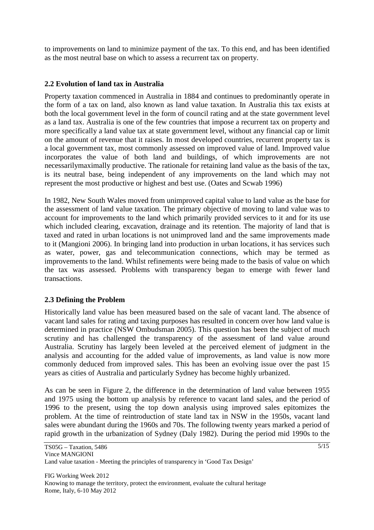to improvements on land to minimize payment of the tax. To this end, and has been identified as the most neutral base on which to assess a recurrent tax on property.

#### **2.2 Evolution of land tax in Australia**

Property taxation commenced in Australia in 1884 and continues to predominantly operate in the form of a tax on land, also known as land value taxation. In Australia this tax exists at both the local government level in the form of council rating and at the state government level as a land tax. Australia is one of the few countries that impose a recurrent tax on property and more specifically a land value tax at state government level, without any financial cap or limit on the amount of revenue that it raises. In most developed countries, recurrent property tax is a local government tax, most commonly assessed on improved value of land. Improved value incorporates the value of both land and buildings, of which improvements are not necessarilymaximally productive. The rationale for retaining land value as the basis of the tax, is its neutral base, being independent of any improvements on the land which may not represent the most productive or highest and best use. (Oates and Scwab 1996)

In 1982, New South Wales moved from unimproved capital value to land value as the base for the assessment of land value taxation. The primary objective of moving to land value was to account for improvements to the land which primarily provided services to it and for its use which included clearing, excavation, drainage and its retention. The majority of land that is taxed and rated in urban locations is not unimproved land and the same improvements made to it (Mangioni 2006). In bringing land into production in urban locations, it has services such as water, power, gas and telecommunication connections, which may be termed as improvements to the land. Whilst refinements were being made to the basis of value on which the tax was assessed. Problems with transparency began to emerge with fewer land transactions.

## **2.3 Defining the Problem**

Historically land value has been measured based on the sale of vacant land. The absence of vacant land sales for rating and taxing purposes has resulted in concern over how land value is determined in practice (NSW Ombudsman 2005). This question has been the subject of much scrutiny and has challenged the transparency of the assessment of land value around Australia. Scrutiny has largely been leveled at the perceived element of judgment in the analysis and accounting for the added value of improvements, as land value is now more commonly deduced from improved sales. This has been an evolving issue over the past 15 years as cities of Australia and particularly Sydney has become highly urbanized.

As can be seen in Figure 2, the difference in the determination of land value between 1955 and 1975 using the bottom up analysis by reference to vacant land sales, and the period of 1996 to the present, using the top down analysis using improved sales epitomizes the problem. At the time of reintroduction of state land tax in NSW in the 1950s, vacant land sales were abundant during the 1960s and 70s. The following twenty years marked a period of rapid growth in the urbanization of Sydney (Daly 1982). During the period mid 1990s to the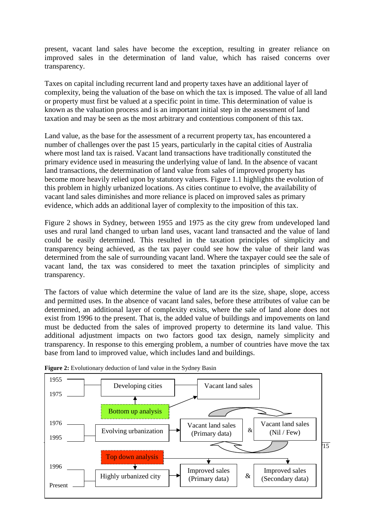present, vacant land sales have become the exception, resulting in greater reliance on improved sales in the determination of land value, which has raised concerns over transparency.

Taxes on capital including recurrent land and property taxes have an additional layer of complexity, being the valuation of the base on which the tax is imposed. The value of all land or property must first be valued at a specific point in time. This determination of value is known as the valuation process and is an important initial step in the assessment of land taxation and may be seen as the most arbitrary and contentious component of this tax.

Land value, as the base for the assessment of a recurrent property tax, has encountered a number of challenges over the past 15 years, particularly in the capital cities of Australia where most land tax is raised. Vacant land transactions have traditionally constituted the primary evidence used in measuring the underlying value of land. In the absence of vacant land transactions, the determination of land value from sales of improved property has become more heavily relied upon by statutory valuers. Figure 1.1 highlights the evolution of this problem in highly urbanized locations. As cities continue to evolve, the availability of vacant land sales diminishes and more reliance is placed on improved sales as primary evidence, which adds an additional layer of complexity to the imposition of this tax.

Figure 2 shows in Sydney, between 1955 and 1975 as the city grew from undeveloped land uses and rural land changed to urban land uses, vacant land transacted and the value of land could be easily determined. This resulted in the taxation principles of simplicity and transparency being achieved, as the tax payer could see how the value of their land was determined from the sale of surrounding vacant land. Where the taxpayer could see the sale of vacant land, the tax was considered to meet the taxation principles of simplicity and transparency.

The factors of value which determine the value of land are its the size, shape, slope, access and permitted uses. In the absence of vacant land sales, before these attributes of value can be determined, an additional layer of complexity exists, where the sale of land alone does not exist from 1996 to the present. That is, the added value of buildings and impovements on land must be deducted from the sales of improved property to determine its land value. This additional adjustment impacts on two factors good tax design, namely simplicity and transparency. In response to this emerging problem, a number of countries have move the tax base from land to improved value, which includes land and buildings.



**Figure 2:** Evolutionary deduction of land value in the Sydney Basin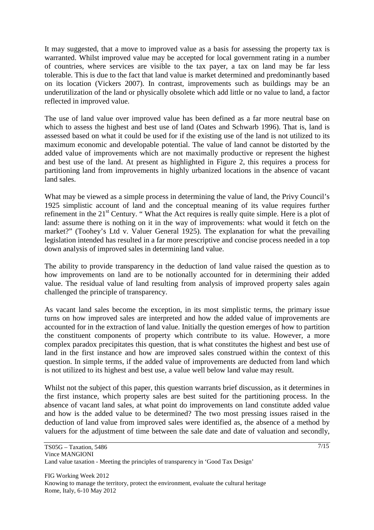It may suggested, that a move to improved value as a basis for assessing the property tax is warranted. Whilst improved value may be accepted for local government rating in a number of countries, where services are visible to the tax payer, a tax on land may be far less tolerable. This is due to the fact that land value is market determined and predominantly based on its location (Vickers 2007). In contrast, improvements such as buildings may be an underutilization of the land or physically obsolete which add little or no value to land, a factor reflected in improved value.

The use of land value over improved value has been defined as a far more neutral base on which to assess the highest and best use of land (Oates and Schwarb 1996). That is, land is assessed based on what it could be used for if the existing use of the land is not utilized to its maximum economic and developable potential. The value of land cannot be distorted by the added value of improvements which are not maximally productive or represent the highest and best use of the land. At present as highlighted in Figure 2, this requires a process for partitioning land from improvements in highly urbanized locations in the absence of vacant land sales.

What may be viewed as a simple process in determining the value of land, the Privy Council's 1925 simplistic account of land and the conceptual meaning of its value requires further refinement in the 21<sup>st</sup> Century. "What the Act requires is really quite simple. Here is a plot of land: assume there is nothing on it in the way of improvements: what would it fetch on the market?" (Toohey's Ltd v. Valuer General 1925). The explanation for what the prevailing legislation intended has resulted in a far more prescriptive and concise process needed in a top down analysis of improved sales in determining land value.

The ability to provide transparency in the deduction of land value raised the question as to how improvements on land are to be notionally accounted for in determining their added value. The residual value of land resulting from analysis of improved property sales again challenged the principle of transparency.

As vacant land sales become the exception, in its most simplistic terms, the primary issue turns on how improved sales are interpreted and how the added value of improvements are accounted for in the extraction of land value. Initially the question emerges of how to partition the constituent components of property which contribute to its value. However, a more complex paradox precipitates this question, that is what constitutes the highest and best use of land in the first instance and how are improved sales construed within the context of this question. In simple terms, if the added value of improvements are deducted from land which is not utilized to its highest and best use, a value well below land value may result.

Whilst not the subject of this paper, this question warrants brief discussion, as it determines in the first instance, which property sales are best suited for the partitioning process. In the absence of vacant land sales, at what point do improvements on land constitute added value and how is the added value to be determined? The two most pressing issues raised in the deduction of land value from improved sales were identified as, the absence of a method by valuers for the adjustment of time between the sale date and date of valuation and secondly,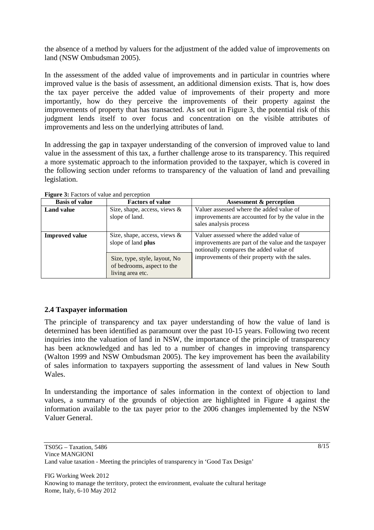the absence of a method by valuers for the adjustment of the added value of improvements on land (NSW Ombudsman 2005).

In the assessment of the added value of improvements and in particular in countries where improved value is the basis of assessment, an additional dimension exists. That is, how does the tax payer perceive the added value of improvements of their property and more importantly, how do they perceive the improvements of their property against the improvements of property that has transacted. As set out in Figure 3, the potential risk of this judgment lends itself to over focus and concentration on the visible attributes of improvements and less on the underlying attributes of land.

In addressing the gap in taxpayer understanding of the conversion of improved value to land value in the assessment of this tax, a further challenge arose to its transparency. This required a more systematic approach to the information provided to the taxpayer, which is covered in the following section under reforms to transparency of the valuation of land and prevailing legislation.

| <b>Basis of value</b> | <b>Factors of value</b>                                                         | <b>Assessment &amp; perception</b>                                                                                                        |
|-----------------------|---------------------------------------------------------------------------------|-------------------------------------------------------------------------------------------------------------------------------------------|
| <b>Land value</b>     | Size, shape, access, views $\&$<br>slope of land.                               | Valuer assessed where the added value of<br>improvements are accounted for by the value in the<br>sales analysis process                  |
| <b>Improved value</b> | Size, shape, access, views $\&$<br>slope of land plus                           | Valuer assessed where the added value of<br>improvements are part of the value and the taxpayer<br>notionally compares the added value of |
|                       | Size, type, style, layout, No<br>of bedrooms, aspect to the<br>living area etc. | improvements of their property with the sales.                                                                                            |

**Figure 3:** Factors of value and perception

## **2.4 Taxpayer information**

The principle of transparency and tax payer understanding of how the value of land is determined has been identified as paramount over the past 10-15 years. Following two recent inquiries into the valuation of land in NSW, the importance of the principle of transparency has been acknowledged and has led to a number of changes in improving transparency (Walton 1999 and NSW Ombudsman 2005). The key improvement has been the availability of sales information to taxpayers supporting the assessment of land values in New South Wales.

In understanding the importance of sales information in the context of objection to land values, a summary of the grounds of objection are highlighted in Figure 4 against the information available to the tax payer prior to the 2006 changes implemented by the NSW Valuer General.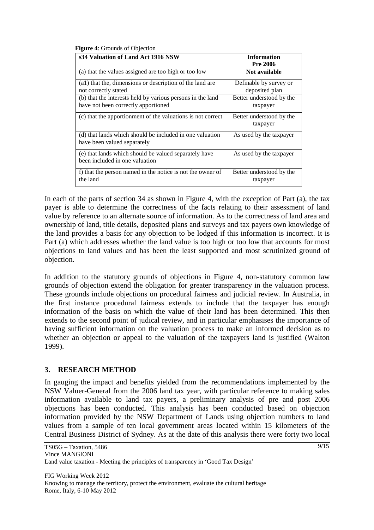| s34 Valuation of Land Act 1916 NSW                                                                | <b>Information</b><br><b>Pre 2006</b>    |  |  |  |
|---------------------------------------------------------------------------------------------------|------------------------------------------|--|--|--|
| (a) that the values assigned are too high or too low                                              | Not available                            |  |  |  |
| (a1) that the, dimensions or description of the land are<br>not correctly stated                  | Definable by survey or<br>deposited plan |  |  |  |
| (b) that the interests held by various persons in the land<br>have not been correctly apportioned | Better understood by the<br>taxpayer     |  |  |  |
| (c) that the apportionment of the valuations is not correct                                       | Better understood by the<br>taxpayer     |  |  |  |
| (d) that lands which should be included in one valuation<br>have been valued separately           | As used by the taxpayer                  |  |  |  |
| (e) that lands which should be valued separately have<br>been included in one valuation           | As used by the taxpayer                  |  |  |  |
| f) that the person named in the notice is not the owner of<br>the land                            | Better understood by the<br>taxpayer     |  |  |  |

**Figure 4**: Grounds of Objection

In each of the parts of section 34 as shown in Figure 4, with the exception of Part (a), the tax payer is able to determine the correctness of the facts relating to their assessment of land value by reference to an alternate source of information. As to the correctness of land area and ownership of land, title details, deposited plans and surveys and tax payers own knowledge of the land provides a basis for any objection to be lodged if this information is incorrect. It is Part (a) which addresses whether the land value is too high or too low that accounts for most objections to land values and has been the least supported and most scrutinized ground of objection.

In addition to the statutory grounds of objections in Figure 4, non-statutory common law grounds of objection extend the obligation for greater transparency in the valuation process. These grounds include objections on procedural fairness and judicial review. In Australia, in the first instance procedural fairness extends to include that the taxpayer has enough information of the basis on which the value of their land has been determined. This then extends to the second point of judical review, and in particular emphasises the importance of having sufficient information on the valuation process to make an informed decision as to whether an objection or appeal to the valuation of the taxpayers land is justified (Walton 1999).

## **3. RESEARCH METHOD**

In gauging the impact and benefits yielded from the recommendations implemented by the NSW Valuer-General from the 2006 land tax year, with particular reference to making sales information available to land tax payers, a preliminary analysis of pre and post 2006 objections has been conducted. This analysis has been conducted based on objection information provided by the NSW Department of Lands using objection numbers to land values from a sample of ten local government areas located within 15 kilometers of the Central Business District of Sydney. As at the date of this analysis there were forty two local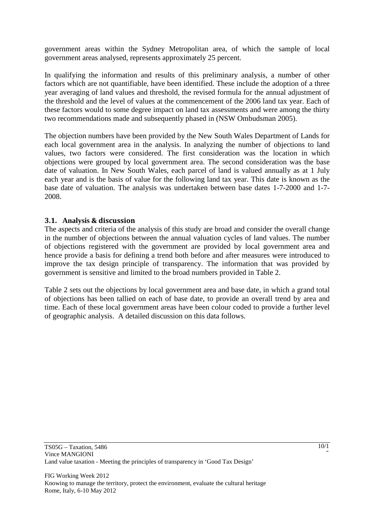government areas within the Sydney Metropolitan area, of which the sample of local government areas analysed, represents approximately 25 percent.

In qualifying the information and results of this preliminary analysis, a number of other factors which are not quantifiable, have been identified. These include the adoption of a three year averaging of land values and threshold, the revised formula for the annual adjustment of the threshold and the level of values at the commencement of the 2006 land tax year. Each of these factors would to some degree impact on land tax assessments and were among the thirty two recommendations made and subsequently phased in (NSW Ombudsman 2005).

The objection numbers have been provided by the New South Wales Department of Lands for each local government area in the analysis. In analyzing the number of objections to land values, two factors were considered. The first consideration was the location in which objections were grouped by local government area. The second consideration was the base date of valuation. In New South Wales, each parcel of land is valued annually as at 1 July each year and is the basis of value for the following land tax year. This date is known as the base date of valuation. The analysis was undertaken between base dates 1-7-2000 and 1-7- 2008.

#### 3.1. **Analysis** & discussion

The aspects and criteria of the analysis of this study are broad and consider the overall change in the number of objections between the annual valuation cycles of land values. The number of objections registered with the government are provided by local government area and hence provide a basis for defining a trend both before and after measures were introduced to improve the tax design principle of transparency. The information that was provided by government is sensitive and limited to the broad numbers provided in Table 2.

Table 2 sets out the objections by local government area and base date, in which a grand total of objections has been tallied on each of base date, to provide an overall trend by area and time. Each of these local government areas have been colour coded to provide a further level of geographic analysis. A detailed discussion on this data follows.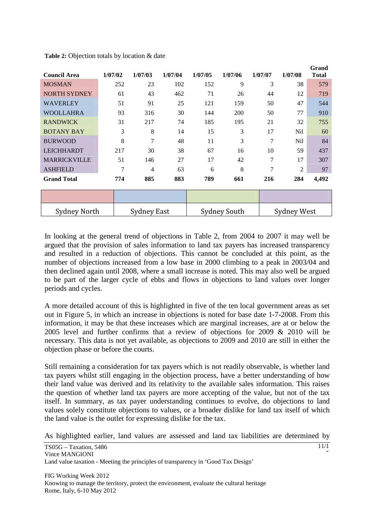| <b>Council Area</b> | 1/07/02 | 1/07/03            | 1/07/04 | 1/07/05 | 1/07/06             | 1/07/07        | 1/07/08            | Grand<br><b>Total</b> |
|---------------------|---------|--------------------|---------|---------|---------------------|----------------|--------------------|-----------------------|
| <b>MOSMAN</b>       | 252     | 23                 | 102     | 152     | 9                   | 3              | 38                 | 579                   |
| <b>NORTH SYDNEY</b> | 61      | 43                 | 462     | 71      | 26                  | 44             | 12                 | 719                   |
| <b>WAVERLEY</b>     | 51      | 91                 | 25      | 121     | 159                 | 50             | 47                 | 544                   |
| <b>WOOLLAHRA</b>    | 93      | 316                | 30      | 144     | 200                 | 50             | 77                 | 910                   |
| <b>RANDWICK</b>     | 31      | 217                | 74      | 185     | 195                 | 21             | 32                 | 755                   |
| <b>BOTANY BAY</b>   | 3       | 8                  | 14      | 15      | 3                   | 17             | Nil                | 60                    |
| <b>BURWOOD</b>      | 8       | $\overline{7}$     | 48      | 11      | 3                   | 7              | Nil                | 84                    |
| <b>LEICHHARDT</b>   | 217     | 30                 | 38      | 67      | 16                  | 10             | 59                 | 437                   |
| <b>MARRICKVILLE</b> | 51      | 146                | 27      | 17      | 42                  | 7              | 17                 | 307                   |
| <b>ASHFIELD</b>     | 7       | 4                  | 63      | 6       | 8                   | $\overline{7}$ | $\overline{2}$     | 97                    |
| <b>Grand Total</b>  | 774     | 885                | 883     | 789     | 661                 | 216            | 284                | 4,492                 |
|                     |         |                    |         |         |                     |                |                    |                       |
| <b>Sydney North</b> |         | <b>Sydney East</b> |         |         | <b>Sydney South</b> |                | <b>Sydney West</b> |                       |

**Table 2:** Objection totals by location & date

In looking at the general trend of objections in Table 2, from 2004 to 2007 it may well be argued that the provision of sales information to land tax payers has increased transparency and resulted in a reduction of objections. This cannot be concluded at this point, as the number of objections increased from a low base in 2000 climbing to a peak in 2003/04 and then declined again until 2008, where a small increase is noted. This may also well be argued to be part of the larger cycle of ebbs and flows in objections to land values over longer periods and cycles.

A more detailed account of this is highlighted in five of the ten local government areas as set out in Figure 5, in which an increase in objections is noted for base date 1-7-2008. From this information, it may be that these increases which are marginal increases, are at or below the 2005 level and further confirms that a review of objections for 2009 & 2010 will be necessary. This data is not yet available, as objections to 2009 and 2010 are still in either the objection phase or before the courts.

Still remaining a consideration for tax payers which is not readily observable, is whether land tax payers whilst still engaging in the objection process, have a better understanding of how their land value was derived and its relativity to the available sales information. This raises the question of whether land tax payers are more accepting of the value, but not of the tax itself. In summary, as tax payer understanding continues to evolve, do objections to land values solely constitute objections to values, or a broader dislike for land tax itself of which the land value is the outlet for expressing dislike for the tax.

As highlighted earlier, land values are assessed and land tax liabilities are determined by

11/1 5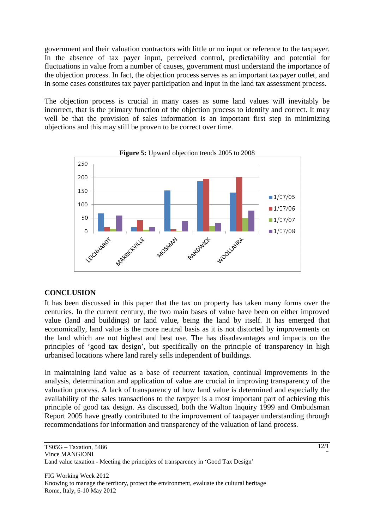government and their valuation contractors with little or no input or reference to the taxpayer. In the absence of tax payer input, perceived control, predictability and potential for fluctuations in value from a number of causes, government must understand the importance of the objection process. In fact, the objection process serves as an important taxpayer outlet, and in some cases constitutes tax payer participation and input in the land tax assessment process.

The objection process is crucial in many cases as some land values will inevitably be incorrect, that is the primary function of the objection process to identify and correct. It may well be that the provision of sales information is an important first step in minimizing objections and this may still be proven to be correct over time.





## **CONCLUSION**

It has been discussed in this paper that the tax on property has taken many forms over the centuries. In the current century, the two main bases of value have been on either improved value (land and buildings) or land value, being the land by itself. It has emerged that economically, land value is the more neutral basis as it is not distorted by improvements on the land which are not highest and best use. The has disadavantages and impacts on the principles of 'good tax design', but specifically on the principle of transparency in high urbanised locations where land rarely sells independent of buildings.

In maintaining land value as a base of recurrent taxation, continual improvements in the analysis, determination and application of value are crucial in improving transparency of the valuation process. A lack of transparency of how land value is determined and especially the availability of the sales transactions to the taxpyer is a most important part of achieving this principle of good tax design. As discussed, both the Walton Inquiry 1999 and Ombudsman Report 2005 have greatly contributed to the improvement of taxpayer understanding through recommendations for information and transparency of the valuation of land process.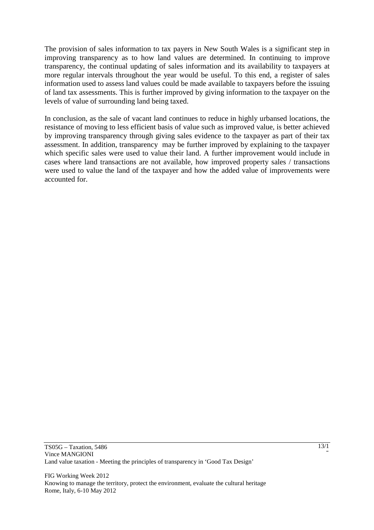The provision of sales information to tax payers in New South Wales is a significant step in improving transparency as to how land values are determined. In continuing to improve transparency, the continual updating of sales information and its availability to taxpayers at more regular intervals throughout the year would be useful. To this end, a register of sales information used to assess land values could be made available to taxpayers before the issuing of land tax assessments. This is further improved by giving information to the taxpayer on the levels of value of surrounding land being taxed.

In conclusion, as the sale of vacant land continues to reduce in highly urbansed locations, the resistance of moving to less efficient basis of value such as improved value, is better achieved by improving transparency through giving sales evidence to the taxpayer as part of their tax assessment. In addition, transparency may be further improved by explaining to the taxpayer which specific sales were used to value their land. A further improvement would include in cases where land transactions are not available, how improved property sales / transactions were used to value the land of the taxpayer and how the added value of improvements were accounted for.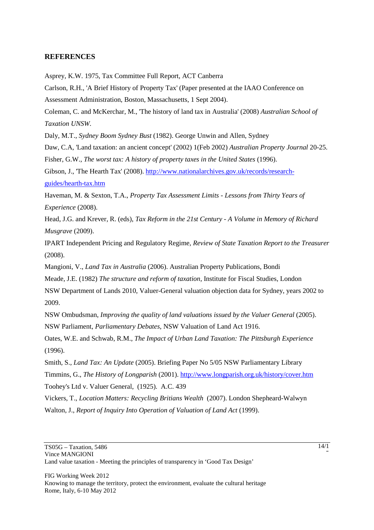#### **REFERENCES**

Asprey, K.W. 1975, Tax Committee Full Report, ACT Canberra

Carlson, R.H., 'A Brief History of Property Tax' (Paper presented at the IAAO Conference on Assessment Administration, Boston, Massachusetts, 1 Sept 2004).

Coleman, C. and McKerchar, M., 'The history of land tax in Australia' (2008) *Australian School of Taxation UNSW*.

Daly, M.T., *Sydney Boom Sydney Bust* (1982). George Unwin and Allen, Sydney

Daw, C.A, 'Land taxation: an ancient concept' (2002) 1(Feb 2002) *Australian Property Journal* 20-25. Fisher, G.W., *The worst tax: A history of property taxes in the United States* (1996).

Gibson, J., 'The Hearth Tax' (2008). http://www.nationalarchives.gov.uk/records/researchguides/hearth-tax.htm

Haveman, M. & Sexton, T.A., *Property Tax Assessment Limits - Lessons from Thirty Years of Experience* (2008).

Head, J.G. and Krever, R. (eds), *Tax Reform in the 21st Century - A Volume in Memory of Richard Musgrave* (2009).

IPART Independent Pricing and Regulatory Regime, *Review of State Taxation Report to the Treasurer* (2008).

Mangioni, V., *Land Tax in Australia* (2006). Australian Property Publications, Bondi

Meade, J.E. (1982) *The structure and reform of taxation*, Institute for Fiscal Studies, London

NSW Department of Lands 2010, Valuer-General valuation objection data for Sydney, years 2002 to 2009.

NSW Ombudsman, *Improving the quality of land valuations issued by the Valuer General* (2005). NSW Parliament, *Parliamentary Debates*, NSW Valuation of Land Act 1916.

Oates, W.E. and Schwab, R.M., *The Impact of Urban Land Taxation: The Pittsburgh Experience* (1996).

Smith, S., *Land Tax: An Update* (2005). Briefing Paper No 5/05 NSW Parliamentary Library

Timmins, G., *The History of Longparish* (2001). http://www.longparish.org.uk/history/cover.htm

Toohey's Ltd v. Valuer General, (1925). A.C. 439

Vickers, T., *Location Matters: Recycling Britians Wealth* (2007). London Shepheard-Walwyn Walton, J., *Report of Inquiry Into Operation of Valuation of Land Act* (1999).